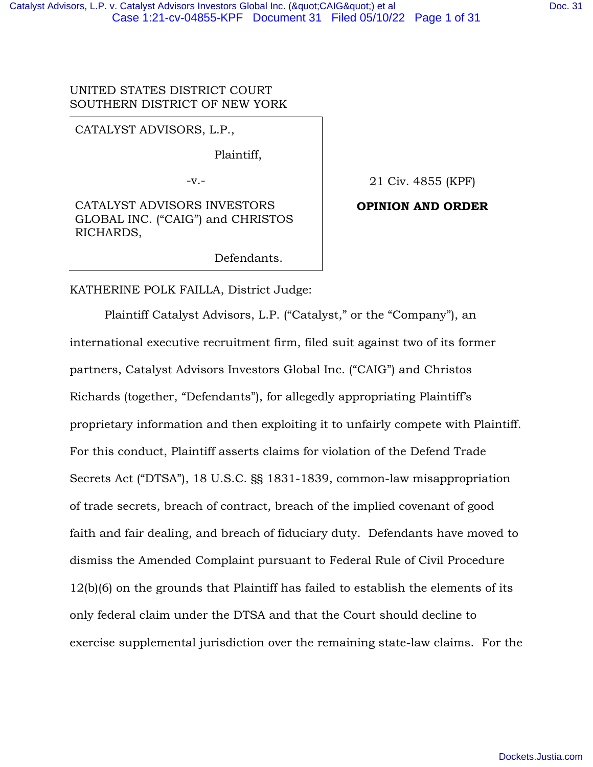UNITED STATES DISTRICT COURT SOUTHERN DISTRICT OF NEW YORK

CATALYST ADVISORS, L.P.,

Plaintiff,

-v.-

CATALYST ADVISORS INVESTORS GLOBAL INC. ("CAIG") and CHRISTOS RICHARDS,

Defendants.

21 Civ. 4855 (KPF)

### **OPINION AND ORDER**

KATHERINE POLK FAILLA, District Judge:

 Plaintiff Catalyst Advisors, L.P. ("Catalyst," or the "Company"), an international executive recruitment firm, filed suit against two of its former partners, Catalyst Advisors Investors Global Inc. ("CAIG") and Christos Richards (together, "Defendants"), for allegedly appropriating Plaintiff's proprietary information and then exploiting it to unfairly compete with Plaintiff. For this conduct, Plaintiff asserts claims for violation of the Defend Trade Secrets Act ("DTSA"), 18 U.S.C. §§ 1831-1839, common-law misappropriation of trade secrets, breach of contract, breach of the implied covenant of good faith and fair dealing, and breach of fiduciary duty. Defendants have moved to dismiss the Amended Complaint pursuant to Federal Rule of Civil Procedure 12(b)(6) on the grounds that Plaintiff has failed to establish the elements of its only federal claim under the DTSA and that the Court should decline to exercise supplemental jurisdiction over the remaining state-law claims. For the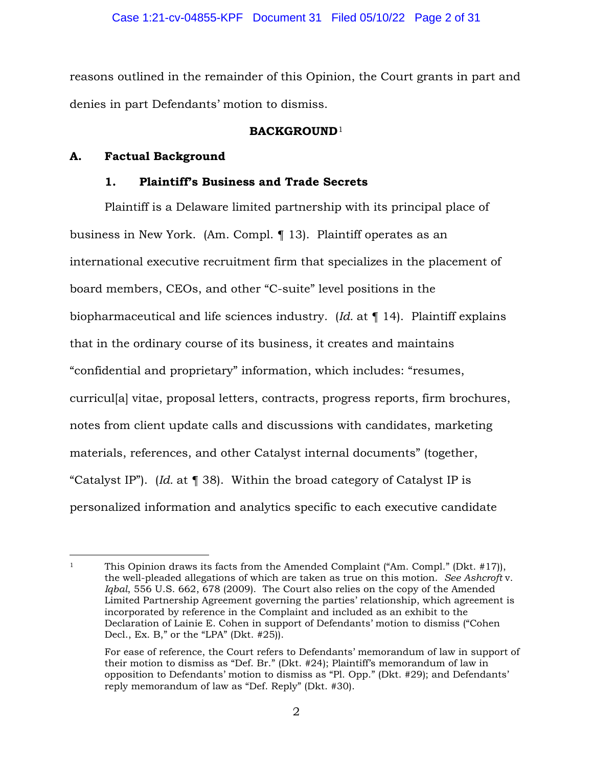reasons outlined in the remainder of this Opinion, the Court grants in part and denies in part Defendants' motion to dismiss.

## **BACKGROUND**<sup>1</sup>

# **A. Factual Background**

# **1. Plaintiff's Business and Trade Secrets**

Plaintiff is a Delaware limited partnership with its principal place of business in New York. (Am. Compl. ¶ 13). Plaintiff operates as an international executive recruitment firm that specializes in the placement of board members, CEOs, and other "C-suite" level positions in the biopharmaceutical and life sciences industry. (*Id.* at ¶ 14). Plaintiff explains that in the ordinary course of its business, it creates and maintains "confidential and proprietary" information, which includes: "resumes, curricul[a] vitae, proposal letters, contracts, progress reports, firm brochures, notes from client update calls and discussions with candidates, marketing materials, references, and other Catalyst internal documents" (together, "Catalyst IP"). (*Id.* at ¶ 38). Within the broad category of Catalyst IP is personalized information and analytics specific to each executive candidate

<sup>&</sup>lt;sup>1</sup> This Opinion draws its facts from the Amended Complaint ("Am. Compl." (Dkt.  $\#17$ )), the well-pleaded allegations of which are taken as true on this motion. *See Ashcroft* v. *Iqbal*, 556 U.S. 662, 678 (2009). The Court also relies on the copy of the Amended Limited Partnership Agreement governing the parties' relationship, which agreement is incorporated by reference in the Complaint and included as an exhibit to the Declaration of Lainie E. Cohen in support of Defendants' motion to dismiss ("Cohen Decl., Ex. B," or the "LPA" (Dkt.  $\#25$ ).

For ease of reference, the Court refers to Defendants' memorandum of law in support of their motion to dismiss as "Def. Br." (Dkt. #24); Plaintiff's memorandum of law in opposition to Defendants' motion to dismiss as "Pl. Opp." (Dkt. #29); and Defendants' reply memorandum of law as "Def. Reply" (Dkt. #30).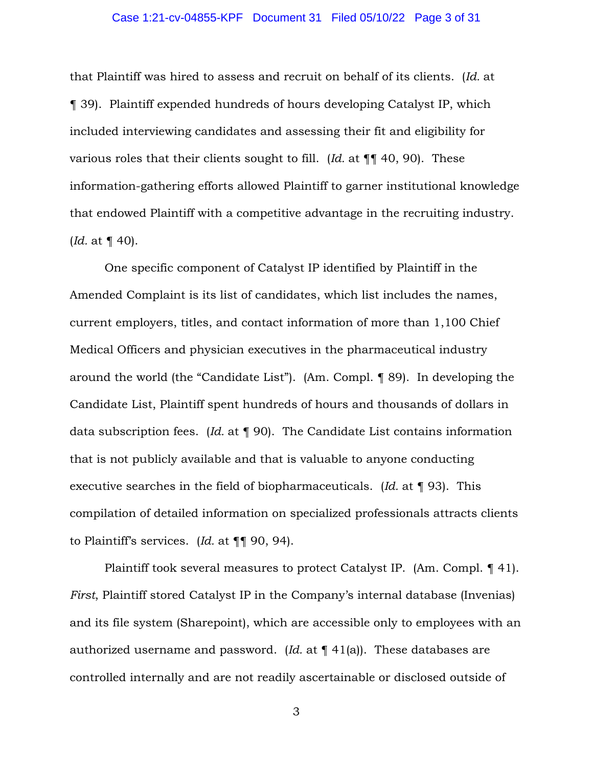## Case 1:21-cv-04855-KPF Document 31 Filed 05/10/22 Page 3 of 31

that Plaintiff was hired to assess and recruit on behalf of its clients. (*Id.* at ¶ 39). Plaintiff expended hundreds of hours developing Catalyst IP, which included interviewing candidates and assessing their fit and eligibility for various roles that their clients sought to fill. (*Id.* at ¶¶ 40, 90). These information-gathering efforts allowed Plaintiff to garner institutional knowledge that endowed Plaintiff with a competitive advantage in the recruiting industry. (*Id.* at ¶ 40).

One specific component of Catalyst IP identified by Plaintiff in the Amended Complaint is its list of candidates, which list includes the names, current employers, titles, and contact information of more than 1,100 Chief Medical Officers and physician executives in the pharmaceutical industry around the world (the "Candidate List"). (Am. Compl. ¶ 89). In developing the Candidate List, Plaintiff spent hundreds of hours and thousands of dollars in data subscription fees. (*Id.* at ¶ 90). The Candidate List contains information that is not publicly available and that is valuable to anyone conducting executive searches in the field of biopharmaceuticals. (*Id.* at ¶ 93). This compilation of detailed information on specialized professionals attracts clients to Plaintiff's services. (*Id.* at ¶¶ 90, 94).

Plaintiff took several measures to protect Catalyst IP. (Am. Compl. ¶ 41). *First*, Plaintiff stored Catalyst IP in the Company's internal database (Invenias) and its file system (Sharepoint), which are accessible only to employees with an authorized username and password. (*Id.* at ¶ 41(a)). These databases are controlled internally and are not readily ascertainable or disclosed outside of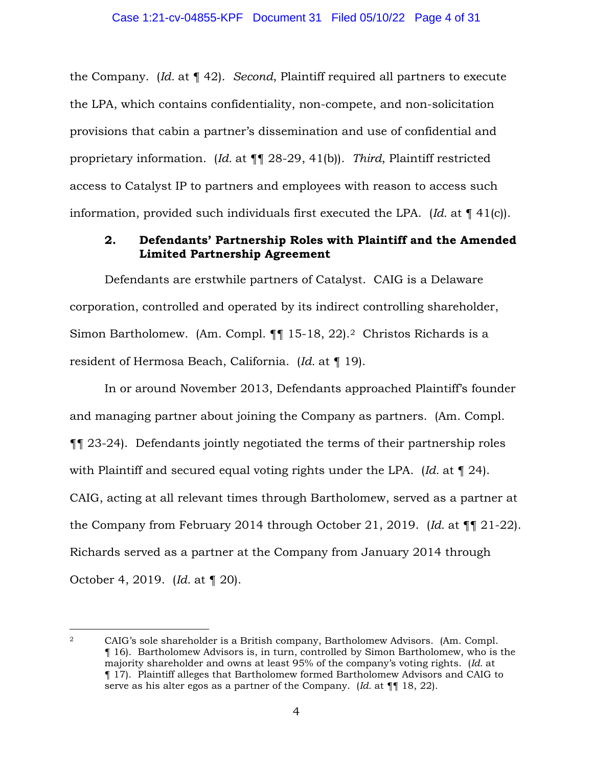the Company. (*Id.* at ¶ 42). *Second*, Plaintiff required all partners to execute the LPA, which contains confidentiality, non-compete, and non-solicitation provisions that cabin a partner's dissemination and use of confidential and proprietary information. (*Id.* at ¶¶ 28-29, 41(b)). *Third*, Plaintiff restricted access to Catalyst IP to partners and employees with reason to access such information, provided such individuals first executed the LPA. (*Id.* at ¶ 41(c)).

## **2. Defendants' Partnership Roles with Plaintiff and the Amended Limited Partnership Agreement**

Defendants are erstwhile partners of Catalyst. CAIG is a Delaware corporation, controlled and operated by its indirect controlling shareholder, Simon Bartholomew. (Am. Compl. ¶¶ 15-18, 22).<sup>2</sup> Christos Richards is a resident of Hermosa Beach, California. (*Id.* at ¶ 19).

In or around November 2013, Defendants approached Plaintiff's founder and managing partner about joining the Company as partners. (Am. Compl. ¶¶ 23-24). Defendants jointly negotiated the terms of their partnership roles with Plaintiff and secured equal voting rights under the LPA. (*Id.* at ¶ 24). CAIG, acting at all relevant times through Bartholomew, served as a partner at the Company from February 2014 through October 21, 2019. (*Id.* at ¶¶ 21-22). Richards served as a partner at the Company from January 2014 through October 4, 2019. (*Id.* at ¶ 20).

<sup>2</sup> CAIG's sole shareholder is a British company, Bartholomew Advisors. (Am. Compl. ¶ 16). Bartholomew Advisors is, in turn, controlled by Simon Bartholomew, who is the majority shareholder and owns at least 95% of the company's voting rights. (*Id.* at ¶ 17). Plaintiff alleges that Bartholomew formed Bartholomew Advisors and CAIG to serve as his alter egos as a partner of the Company. (*Id.* at ¶¶ 18, 22).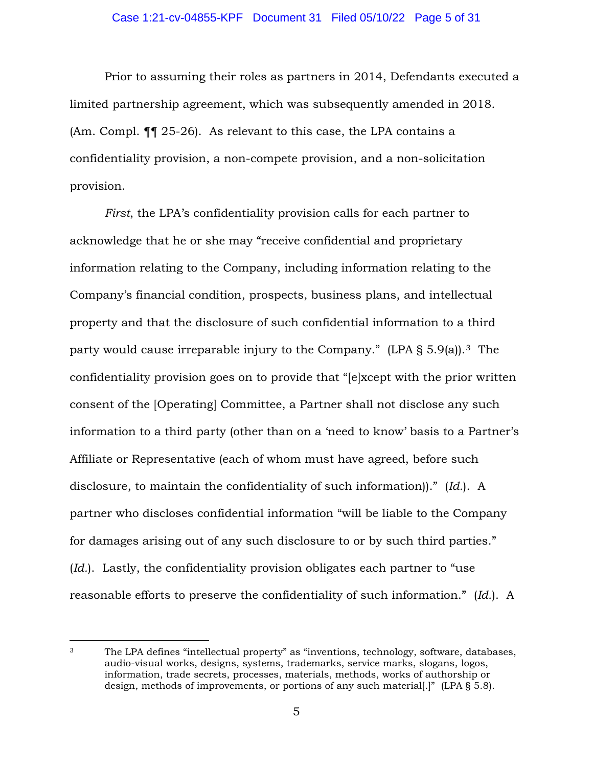Prior to assuming their roles as partners in 2014, Defendants executed a limited partnership agreement, which was subsequently amended in 2018. (Am. Compl. ¶¶ 25-26). As relevant to this case, the LPA contains a confidentiality provision, a non-compete provision, and a non-solicitation provision.

*First*, the LPA's confidentiality provision calls for each partner to acknowledge that he or she may "receive confidential and proprietary information relating to the Company, including information relating to the Company's financial condition, prospects, business plans, and intellectual property and that the disclosure of such confidential information to a third party would cause irreparable injury to the Company." (LPA § 5.9(a)).<sup>3</sup> The confidentiality provision goes on to provide that "[e]xcept with the prior written consent of the [Operating] Committee, a Partner shall not disclose any such information to a third party (other than on a 'need to know' basis to a Partner's Affiliate or Representative (each of whom must have agreed, before such disclosure, to maintain the confidentiality of such information))." (*Id.*). A partner who discloses confidential information "will be liable to the Company for damages arising out of any such disclosure to or by such third parties." (*Id.*). Lastly, the confidentiality provision obligates each partner to "use reasonable efforts to preserve the confidentiality of such information." (*Id.*). A

<sup>3</sup> The LPA defines "intellectual property" as "inventions, technology, software, databases, audio-visual works, designs, systems, trademarks, service marks, slogans, logos, information, trade secrets, processes, materials, methods, works of authorship or design, methods of improvements, or portions of any such material[.]" (LPA § 5.8).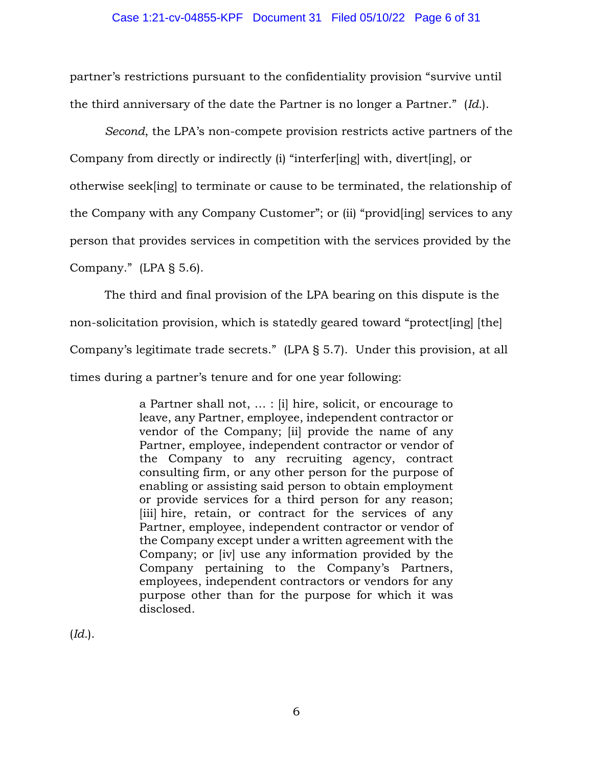partner's restrictions pursuant to the confidentiality provision "survive until the third anniversary of the date the Partner is no longer a Partner." (*Id.*).

*Second*, the LPA's non-compete provision restricts active partners of the Company from directly or indirectly (i) "interfer[ing] with, divert[ing], or otherwise seek[ing] to terminate or cause to be terminated, the relationship of the Company with any Company Customer"; or (ii) "provid[ing] services to any person that provides services in competition with the services provided by the Company." (LPA § 5.6).

The third and final provision of the LPA bearing on this dispute is the non-solicitation provision, which is statedly geared toward "protect[ing] [the] Company's legitimate trade secrets." (LPA § 5.7). Under this provision, at all times during a partner's tenure and for one year following:

> a Partner shall not, … : [i] hire, solicit, or encourage to leave, any Partner, employee, independent contractor or vendor of the Company; [ii] provide the name of any Partner, employee, independent contractor or vendor of the Company to any recruiting agency, contract consulting firm, or any other person for the purpose of enabling or assisting said person to obtain employment or provide services for a third person for any reason; [iii] hire, retain, or contract for the services of any Partner, employee, independent contractor or vendor of the Company except under a written agreement with the Company; or [iv] use any information provided by the Company pertaining to the Company's Partners, employees, independent contractors or vendors for any purpose other than for the purpose for which it was disclosed.

(*Id.*).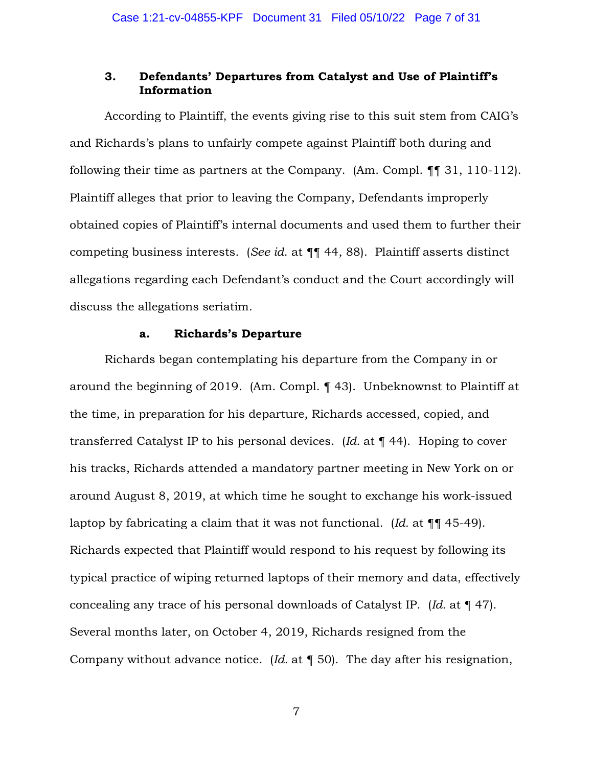## **3. Defendants' Departures from Catalyst and Use of Plaintiff's Information**

According to Plaintiff, the events giving rise to this suit stem from CAIG's and Richards's plans to unfairly compete against Plaintiff both during and following their time as partners at the Company. (Am. Compl. ¶¶ 31, 110-112). Plaintiff alleges that prior to leaving the Company, Defendants improperly obtained copies of Plaintiff's internal documents and used them to further their competing business interests. (*See id*. at ¶¶ 44, 88). Plaintiff asserts distinct allegations regarding each Defendant's conduct and the Court accordingly will discuss the allegations seriatim.

### **a. Richards's Departure**

Richards began contemplating his departure from the Company in or around the beginning of 2019. (Am. Compl. ¶ 43). Unbeknownst to Plaintiff at the time, in preparation for his departure, Richards accessed, copied, and transferred Catalyst IP to his personal devices. (*Id.* at ¶ 44). Hoping to cover his tracks, Richards attended a mandatory partner meeting in New York on or around August 8, 2019, at which time he sought to exchange his work-issued laptop by fabricating a claim that it was not functional. (*Id.* at ¶¶ 45-49). Richards expected that Plaintiff would respond to his request by following its typical practice of wiping returned laptops of their memory and data, effectively concealing any trace of his personal downloads of Catalyst IP. (*Id.* at ¶ 47). Several months later, on October 4, 2019, Richards resigned from the Company without advance notice. (*Id.* at ¶ 50). The day after his resignation,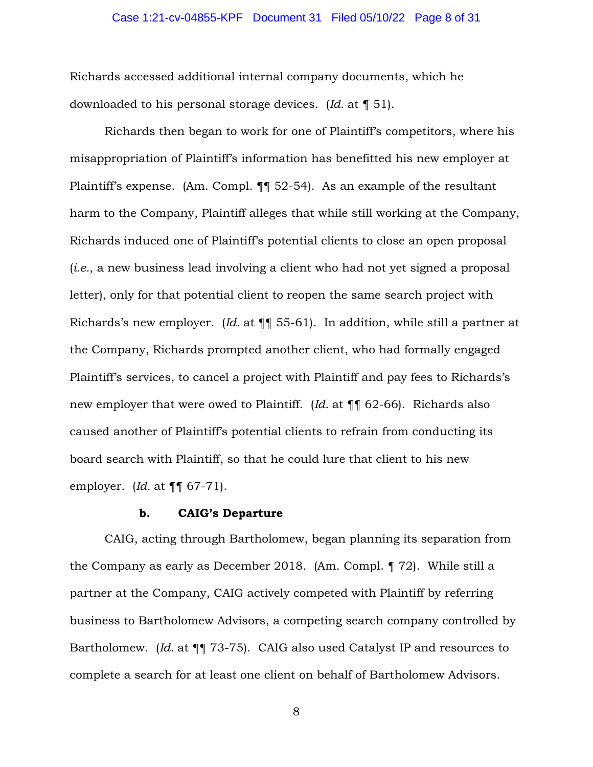#### Case 1:21-cv-04855-KPF Document 31 Filed 05/10/22 Page 8 of 31

Richards accessed additional internal company documents, which he downloaded to his personal storage devices. (*Id.* at ¶ 51).

Richards then began to work for one of Plaintiff's competitors, where his misappropriation of Plaintiff's information has benefitted his new employer at Plaintiff's expense. (Am. Compl. ¶¶ 52-54). As an example of the resultant harm to the Company, Plaintiff alleges that while still working at the Company, Richards induced one of Plaintiff's potential clients to close an open proposal (*i.e.*, a new business lead involving a client who had not yet signed a proposal letter), only for that potential client to reopen the same search project with Richards's new employer. (*Id.* at ¶¶ 55-61). In addition, while still a partner at the Company, Richards prompted another client, who had formally engaged Plaintiff's services, to cancel a project with Plaintiff and pay fees to Richards's new employer that were owed to Plaintiff. (*Id.* at ¶¶ 62-66). Richards also caused another of Plaintiff's potential clients to refrain from conducting its board search with Plaintiff, so that he could lure that client to his new employer. (*Id.* at ¶¶ 67-71).

#### **b. CAIG's Departure**

CAIG, acting through Bartholomew, began planning its separation from the Company as early as December 2018. (Am. Compl. ¶ 72). While still a partner at the Company, CAIG actively competed with Plaintiff by referring business to Bartholomew Advisors, a competing search company controlled by Bartholomew. (*Id.* at  $\P$ <sup> $\P$ </sup> 73-75). CAIG also used Catalyst IP and resources to complete a search for at least one client on behalf of Bartholomew Advisors.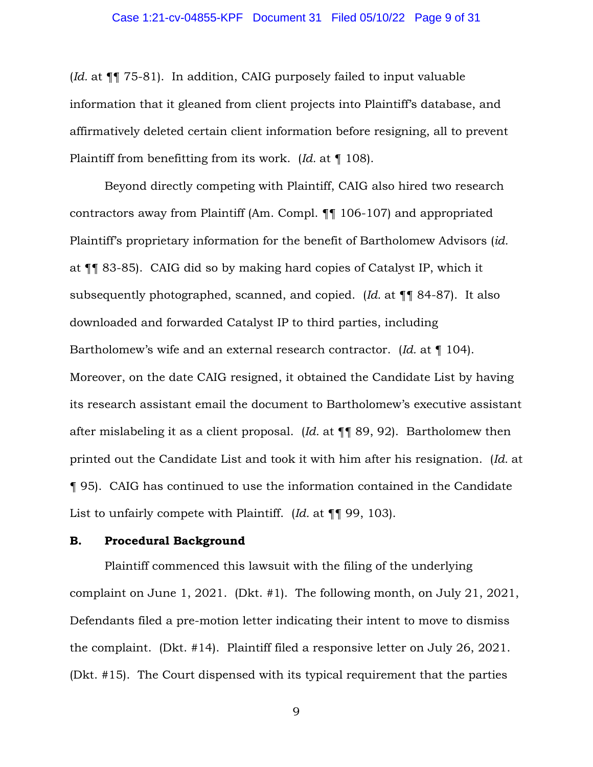(*Id.* at ¶¶ 75-81). In addition, CAIG purposely failed to input valuable information that it gleaned from client projects into Plaintiff's database, and affirmatively deleted certain client information before resigning, all to prevent Plaintiff from benefitting from its work. (*Id.* at ¶ 108).

Beyond directly competing with Plaintiff, CAIG also hired two research contractors away from Plaintiff (Am. Compl. ¶¶ 106-107) and appropriated Plaintiff's proprietary information for the benefit of Bartholomew Advisors (*id.* at ¶¶ 83-85). CAIG did so by making hard copies of Catalyst IP, which it subsequently photographed, scanned, and copied. (*Id.* at ¶¶ 84-87). It also downloaded and forwarded Catalyst IP to third parties, including Bartholomew's wife and an external research contractor. (*Id.* at ¶ 104). Moreover, on the date CAIG resigned, it obtained the Candidate List by having its research assistant email the document to Bartholomew's executive assistant after mislabeling it as a client proposal. (*Id.* at ¶¶ 89, 92). Bartholomew then printed out the Candidate List and took it with him after his resignation. (*Id.* at ¶ 95). CAIG has continued to use the information contained in the Candidate List to unfairly compete with Plaintiff. (*Id.* at ¶¶ 99, 103).

### **B. Procedural Background**

Plaintiff commenced this lawsuit with the filing of the underlying complaint on June 1, 2021. (Dkt. #1). The following month, on July 21, 2021, Defendants filed a pre-motion letter indicating their intent to move to dismiss the complaint. (Dkt. #14). Plaintiff filed a responsive letter on July 26, 2021. (Dkt. #15). The Court dispensed with its typical requirement that the parties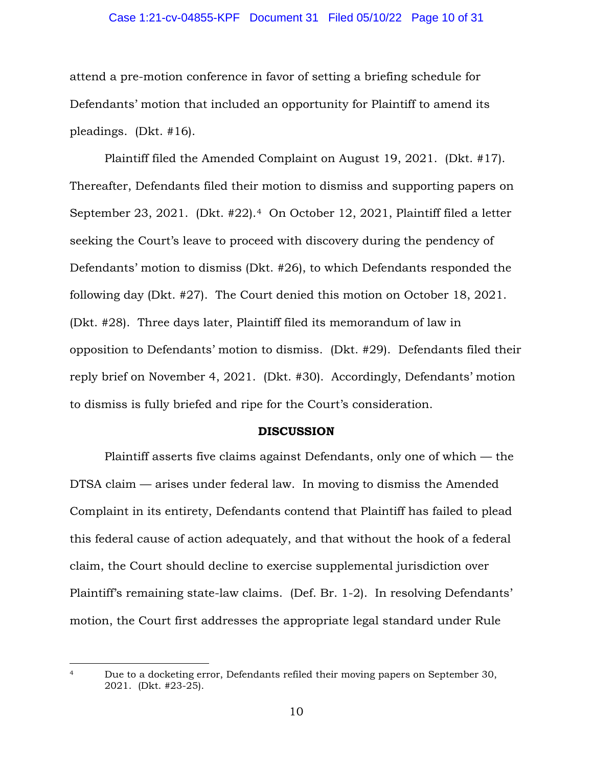#### Case 1:21-cv-04855-KPF Document 31 Filed 05/10/22 Page 10 of 31

attend a pre-motion conference in favor of setting a briefing schedule for Defendants' motion that included an opportunity for Plaintiff to amend its pleadings. (Dkt. #16).

Plaintiff filed the Amended Complaint on August 19, 2021. (Dkt. #17). Thereafter, Defendants filed their motion to dismiss and supporting papers on September 23, 2021. (Dkt. #22).<sup>4</sup> On October 12, 2021, Plaintiff filed a letter seeking the Court's leave to proceed with discovery during the pendency of Defendants' motion to dismiss (Dkt. #26), to which Defendants responded the following day (Dkt. #27). The Court denied this motion on October 18, 2021. (Dkt. #28). Three days later, Plaintiff filed its memorandum of law in opposition to Defendants' motion to dismiss. (Dkt. #29). Defendants filed their reply brief on November 4, 2021. (Dkt. #30). Accordingly, Defendants' motion to dismiss is fully briefed and ripe for the Court's consideration.

#### **DISCUSSION**

 Plaintiff asserts five claims against Defendants, only one of which — the DTSA claim — arises under federal law. In moving to dismiss the Amended Complaint in its entirety, Defendants contend that Plaintiff has failed to plead this federal cause of action adequately, and that without the hook of a federal claim, the Court should decline to exercise supplemental jurisdiction over Plaintiff's remaining state-law claims. (Def. Br. 1-2). In resolving Defendants' motion, the Court first addresses the appropriate legal standard under Rule

<sup>4</sup> Due to a docketing error, Defendants refiled their moving papers on September 30, 2021. (Dkt. #23-25).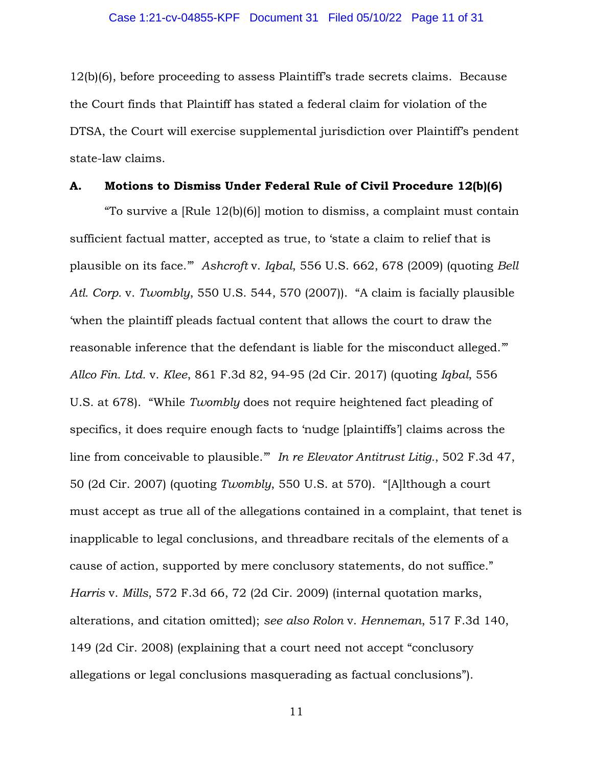12(b)(6), before proceeding to assess Plaintiff's trade secrets claims. Because the Court finds that Plaintiff has stated a federal claim for violation of the DTSA, the Court will exercise supplemental jurisdiction over Plaintiff's pendent state-law claims.

### **A. Motions to Dismiss Under Federal Rule of Civil Procedure 12(b)(6)**

"To survive a [Rule 12(b)(6)] motion to dismiss, a complaint must contain sufficient factual matter, accepted as true, to 'state a claim to relief that is plausible on its face.'" *Ashcroft* v. *Iqbal*, 556 U.S. 662, 678 (2009) (quoting *Bell Atl. Corp.* v. *Twombly*, 550 U.S. 544, 570 (2007)). "A claim is facially plausible 'when the plaintiff pleads factual content that allows the court to draw the reasonable inference that the defendant is liable for the misconduct alleged.'" *Allco Fin. Ltd.* v. *Klee*, 861 F.3d 82, 94-95 (2d Cir. 2017) (quoting *Iqbal*, 556 U.S. at 678). "While *Twombly* does not require heightened fact pleading of specifics, it does require enough facts to 'nudge [plaintiffs'] claims across the line from conceivable to plausible.'" *In re Elevator Antitrust Litig.*, 502 F.3d 47, 50 (2d Cir. 2007) (quoting *Twombly*, 550 U.S. at 570). "[A]lthough a court must accept as true all of the allegations contained in a complaint, that tenet is inapplicable to legal conclusions, and threadbare recitals of the elements of a cause of action, supported by mere conclusory statements, do not suffice." *Harris* v. *Mills*, 572 F.3d 66, 72 (2d Cir. 2009) (internal quotation marks, alterations, and citation omitted); *see also Rolon* v. *Henneman*, 517 F.3d 140, 149 (2d Cir. 2008) (explaining that a court need not accept "conclusory allegations or legal conclusions masquerading as factual conclusions").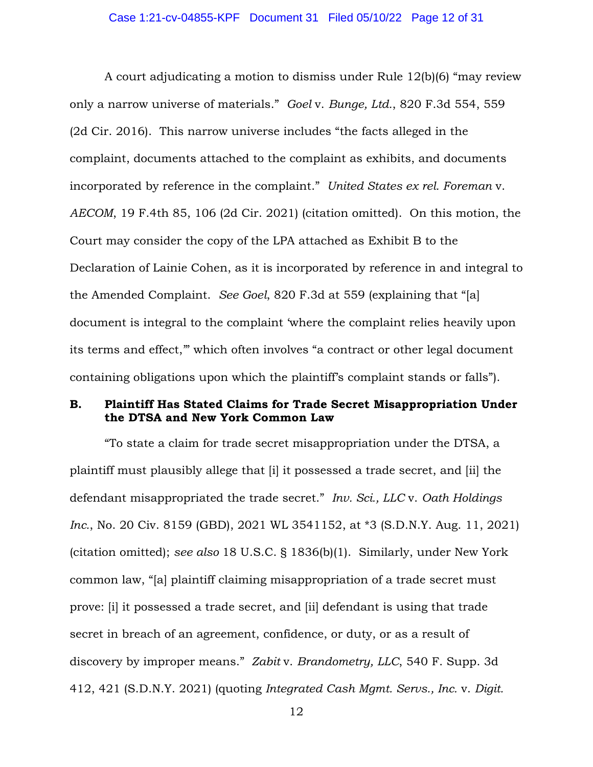A court adjudicating a motion to dismiss under Rule 12(b)(6) "may review only a narrow universe of materials." *Goel* v. *Bunge, Ltd.*, 820 F.3d 554, 559 (2d Cir. 2016). This narrow universe includes "the facts alleged in the complaint, documents attached to the complaint as exhibits, and documents incorporated by reference in the complaint." *United States ex rel. Foreman* v. *AECOM*, 19 F.4th 85, 106 (2d Cir. 2021) (citation omitted). On this motion, the Court may consider the copy of the LPA attached as Exhibit B to the Declaration of Lainie Cohen, as it is incorporated by reference in and integral to the Amended Complaint. *See Goel*, 820 F.3d at 559 (explaining that "[a] document is integral to the complaint 'where the complaint relies heavily upon its terms and effect,'" which often involves "a contract or other legal document containing obligations upon which the plaintiff's complaint stands or falls").

## **B. Plaintiff Has Stated Claims for Trade Secret Misappropriation Under the DTSA and New York Common Law**

"To state a claim for trade secret misappropriation under the DTSA, a plaintiff must plausibly allege that [i] it possessed a trade secret, and [ii] the defendant misappropriated the trade secret." *Inv. Sci., LLC* v. *Oath Holdings Inc.*, No. 20 Civ. 8159 (GBD), 2021 WL 3541152, at \*3 (S.D.N.Y. Aug. 11, 2021) (citation omitted); *see also* 18 U.S.C. § 1836(b)(1). Similarly, under New York common law, "[a] plaintiff claiming misappropriation of a trade secret must prove: [i] it possessed a trade secret, and [ii] defendant is using that trade secret in breach of an agreement, confidence, or duty, or as a result of discovery by improper means." *Zabit* v. *Brandometry, LLC*, 540 F. Supp. 3d 412, 421 (S.D.N.Y. 2021) (quoting *Integrated Cash Mgmt. Servs., Inc.* v. *Digit.*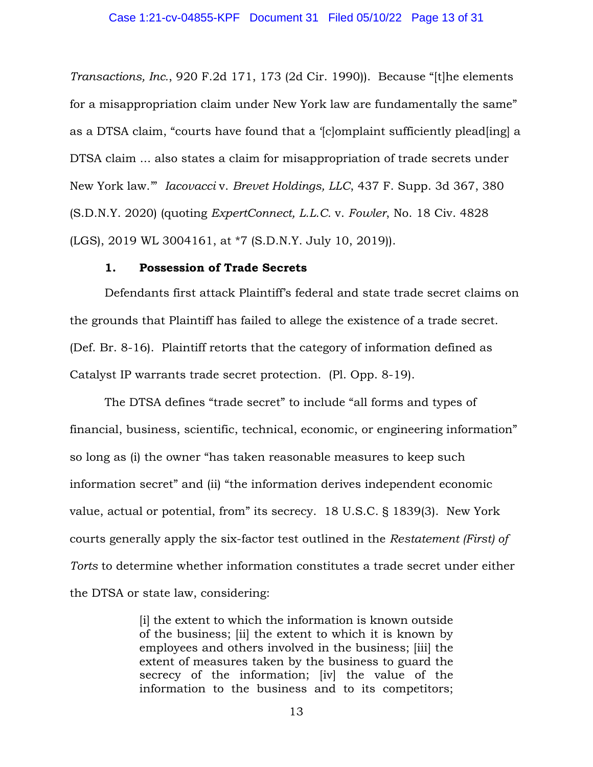*Transactions, Inc.*, 920 F.2d 171, 173 (2d Cir. 1990)). Because "[t]he elements for a misappropriation claim under New York law are fundamentally the same" as a DTSA claim, "courts have found that a '[c]omplaint sufficiently plead[ing] a DTSA claim ... also states a claim for misappropriation of trade secrets under New York law.'" *Iacovacci* v. *Brevet Holdings, LLC*, 437 F. Supp. 3d 367, 380 (S.D.N.Y. 2020) (quoting *ExpertConnect, L.L.C.* v. *Fowler*, No. 18 Civ. 4828 (LGS), 2019 WL 3004161, at \*7 (S.D.N.Y. July 10, 2019)).

### **1. Possession of Trade Secrets**

Defendants first attack Plaintiff's federal and state trade secret claims on the grounds that Plaintiff has failed to allege the existence of a trade secret. (Def. Br. 8-16). Plaintiff retorts that the category of information defined as Catalyst IP warrants trade secret protection. (Pl. Opp. 8-19).

The DTSA defines "trade secret" to include "all forms and types of financial, business, scientific, technical, economic, or engineering information" so long as (i) the owner "has taken reasonable measures to keep such information secret" and (ii) "the information derives independent economic value, actual or potential, from" its secrecy. 18 U.S.C. § 1839(3). New York courts generally apply the six-factor test outlined in the *Restatement (First) of Torts* to determine whether information constitutes a trade secret under either the DTSA or state law, considering:

> [i] the extent to which the information is known outside of the business; [ii] the extent to which it is known by employees and others involved in the business; [iii] the extent of measures taken by the business to guard the secrecy of the information; [iv] the value of the information to the business and to its competitors;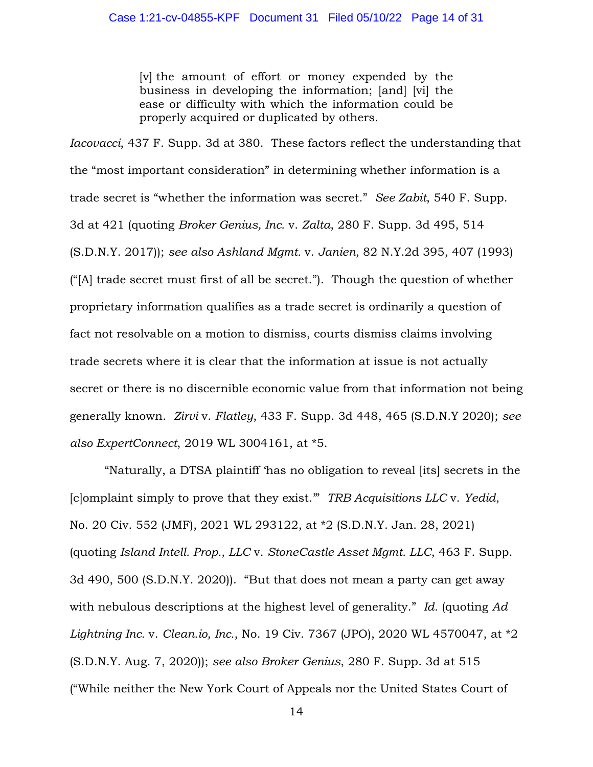[v] the amount of effort or money expended by the business in developing the information; [and] [vi] the ease or difficulty with which the information could be properly acquired or duplicated by others.

*Iacovacci*, 437 F. Supp. 3d at 380. These factors reflect the understanding that the "most important consideration" in determining whether information is a trade secret is "whether the information was secret." *See Zabit*, 540 F. Supp. 3d at 421 (quoting *Broker Genius, Inc.* v. *Zalta*, 280 F. Supp. 3d 495, 514 (S.D.N.Y. 2017)); *see also Ashland Mgmt.* v. *Janien*, 82 N.Y.2d 395, 407 (1993) ("[A] trade secret must first of all be secret."). Though the question of whether proprietary information qualifies as a trade secret is ordinarily a question of fact not resolvable on a motion to dismiss, courts dismiss claims involving trade secrets where it is clear that the information at issue is not actually secret or there is no discernible economic value from that information not being generally known. *Zirvi* v. *Flatley*, 433 F. Supp. 3d 448, 465 (S.D.N.Y 2020); *see also ExpertConnect*, 2019 WL 3004161, at \*5.

"Naturally, a DTSA plaintiff 'has no obligation to reveal [its] secrets in the [c]omplaint simply to prove that they exist.'" *TRB Acquisitions LLC* v. *Yedid*, No. 20 Civ. 552 (JMF), 2021 WL 293122, at \*2 (S.D.N.Y. Jan. 28, 2021) (quoting *Island Intell. Prop., LLC* v. *StoneCastle Asset Mgmt. LLC*, 463 F. Supp. 3d 490, 500 (S.D.N.Y. 2020)). "But that does not mean a party can get away with nebulous descriptions at the highest level of generality." *Id.* (quoting *Ad Lightning Inc.* v. *Clean.io, Inc.*, No. 19 Civ. 7367 (JPO), 2020 WL 4570047, at \*2 (S.D.N.Y. Aug. 7, 2020)); *see also Broker Genius*, 280 F. Supp. 3d at 515 ("While neither the New York Court of Appeals nor the United States Court of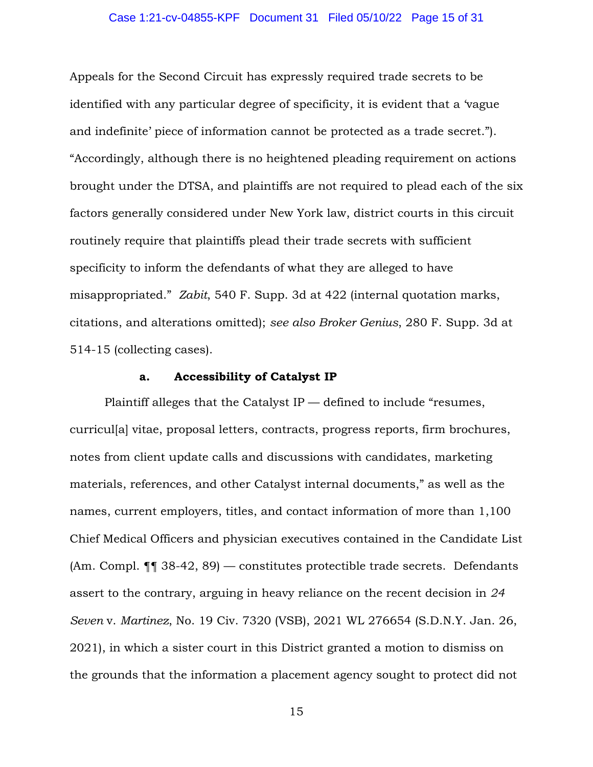#### Case 1:21-cv-04855-KPF Document 31 Filed 05/10/22 Page 15 of 31

Appeals for the Second Circuit has expressly required trade secrets to be identified with any particular degree of specificity, it is evident that a 'vague and indefinite' piece of information cannot be protected as a trade secret."). "Accordingly, although there is no heightened pleading requirement on actions brought under the DTSA, and plaintiffs are not required to plead each of the six factors generally considered under New York law, district courts in this circuit routinely require that plaintiffs plead their trade secrets with sufficient specificity to inform the defendants of what they are alleged to have misappropriated." *Zabit*, 540 F. Supp. 3d at 422 (internal quotation marks, citations, and alterations omitted); *see also Broker Genius*, 280 F. Supp. 3d at 514-15 (collecting cases).

### **a. Accessibility of Catalyst IP**

Plaintiff alleges that the Catalyst IP — defined to include "resumes, curricul[a] vitae, proposal letters, contracts, progress reports, firm brochures, notes from client update calls and discussions with candidates, marketing materials, references, and other Catalyst internal documents," as well as the names, current employers, titles, and contact information of more than 1,100 Chief Medical Officers and physician executives contained in the Candidate List (Am. Compl. ¶¶ 38-42, 89) — constitutes protectible trade secrets. Defendants assert to the contrary, arguing in heavy reliance on the recent decision in *24 Seven* v. *Martinez*, No. 19 Civ. 7320 (VSB), 2021 WL 276654 (S.D.N.Y. Jan. 26, 2021), in which a sister court in this District granted a motion to dismiss on the grounds that the information a placement agency sought to protect did not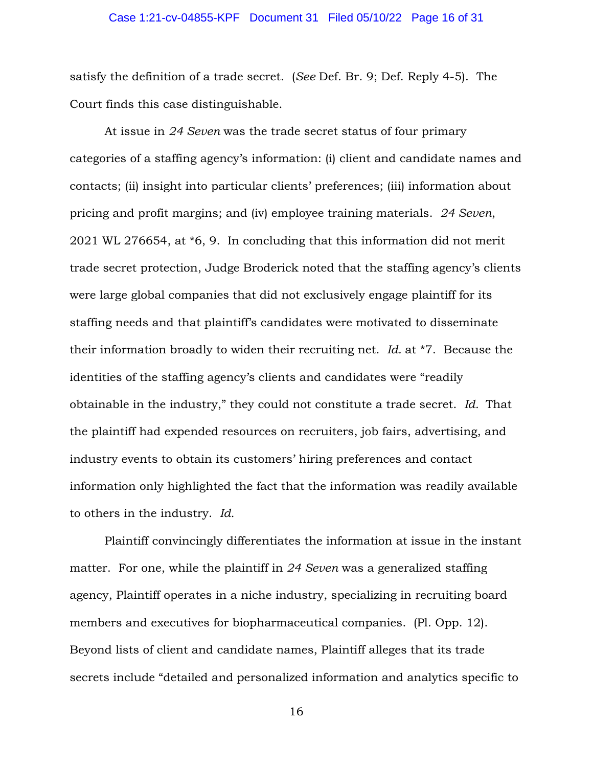#### Case 1:21-cv-04855-KPF Document 31 Filed 05/10/22 Page 16 of 31

satisfy the definition of a trade secret. (*See* Def. Br. 9; Def. Reply 4-5). The Court finds this case distinguishable.

At issue in *24 Seven* was the trade secret status of four primary categories of a staffing agency's information: (i) client and candidate names and contacts; (ii) insight into particular clients' preferences; (iii) information about pricing and profit margins; and (iv) employee training materials. *24 Seven*, 2021 WL 276654, at \*6, 9. In concluding that this information did not merit trade secret protection, Judge Broderick noted that the staffing agency's clients were large global companies that did not exclusively engage plaintiff for its staffing needs and that plaintiff's candidates were motivated to disseminate their information broadly to widen their recruiting net. *Id.* at \*7. Because the identities of the staffing agency's clients and candidates were "readily obtainable in the industry," they could not constitute a trade secret. *Id.* That the plaintiff had expended resources on recruiters, job fairs, advertising, and industry events to obtain its customers' hiring preferences and contact information only highlighted the fact that the information was readily available to others in the industry. *Id.* 

Plaintiff convincingly differentiates the information at issue in the instant matter. For one, while the plaintiff in *24 Seven* was a generalized staffing agency, Plaintiff operates in a niche industry, specializing in recruiting board members and executives for biopharmaceutical companies. (Pl. Opp. 12). Beyond lists of client and candidate names, Plaintiff alleges that its trade secrets include "detailed and personalized information and analytics specific to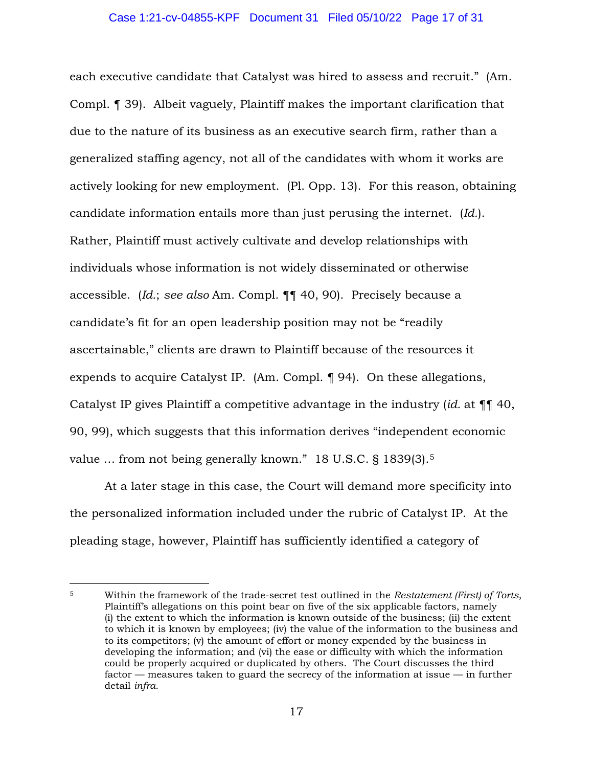each executive candidate that Catalyst was hired to assess and recruit." (Am. Compl. ¶ 39). Albeit vaguely, Plaintiff makes the important clarification that due to the nature of its business as an executive search firm, rather than a generalized staffing agency, not all of the candidates with whom it works are actively looking for new employment. (Pl. Opp. 13). For this reason, obtaining candidate information entails more than just perusing the internet. (*Id.*). Rather, Plaintiff must actively cultivate and develop relationships with individuals whose information is not widely disseminated or otherwise accessible. (*Id.*; *see also* Am. Compl. ¶¶ 40, 90). Precisely because a candidate's fit for an open leadership position may not be "readily ascertainable," clients are drawn to Plaintiff because of the resources it expends to acquire Catalyst IP. (Am. Compl. ¶ 94). On these allegations, Catalyst IP gives Plaintiff a competitive advantage in the industry (*id.* at ¶¶ 40, 90, 99), which suggests that this information derives "independent economic value ... from not being generally known." 18 U.S.C. § 1839(3).<sup>5</sup>

At a later stage in this case, the Court will demand more specificity into the personalized information included under the rubric of Catalyst IP. At the pleading stage, however, Plaintiff has sufficiently identified a category of

<sup>5</sup> Within the framework of the trade-secret test outlined in the *Restatement (First) of Torts*, Plaintiff's allegations on this point bear on five of the six applicable factors, namely (i) the extent to which the information is known outside of the business; (ii) the extent to which it is known by employees; (iv) the value of the information to the business and to its competitors; (v) the amount of effort or money expended by the business in developing the information; and (vi) the ease or difficulty with which the information could be properly acquired or duplicated by others. The Court discusses the third factor — measures taken to guard the secrecy of the information at issue — in further detail *infra*.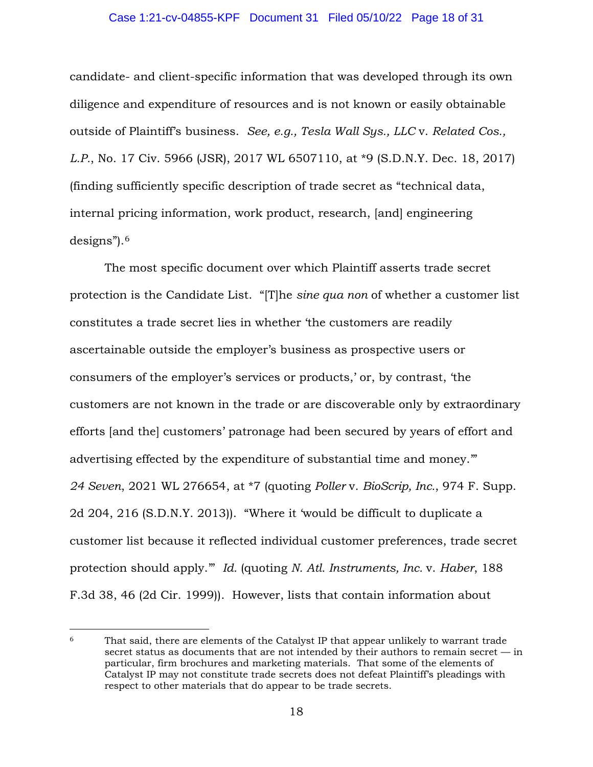#### Case 1:21-cv-04855-KPF Document 31 Filed 05/10/22 Page 18 of 31

candidate- and client-specific information that was developed through its own diligence and expenditure of resources and is not known or easily obtainable outside of Plaintiff's business. *See, e.g., Tesla Wall Sys., LLC* v. *Related Cos., L.P.*, No. 17 Civ. 5966 (JSR), 2017 WL 6507110, at \*9 (S.D.N.Y. Dec. 18, 2017) (finding sufficiently specific description of trade secret as "technical data, internal pricing information, work product, research, [and] engineering designs").<sup>6</sup>

 The most specific document over which Plaintiff asserts trade secret protection is the Candidate List. "[T]he *sine qua non* of whether a customer list constitutes a trade secret lies in whether 'the customers are readily ascertainable outside the employer's business as prospective users or consumers of the employer's services or products,' or, by contrast, 'the customers are not known in the trade or are discoverable only by extraordinary efforts [and the] customers' patronage had been secured by years of effort and advertising effected by the expenditure of substantial time and money.'" *24 Seven*, 2021 WL 276654, at \*7 (quoting *Poller* v. *BioScrip, Inc.*, 974 F. Supp. 2d 204, 216 (S.D.N.Y. 2013)). "Where it 'would be difficult to duplicate a customer list because it reflected individual customer preferences, trade secret protection should apply.'" *Id.* (quoting *N. Atl. Instruments, Inc.* v. *Haber*, 188 F.3d 38, 46 (2d Cir. 1999)). However, lists that contain information about

 $6$  That said, there are elements of the Catalyst IP that appear unlikely to warrant trade secret status as documents that are not intended by their authors to remain secret — in particular, firm brochures and marketing materials. That some of the elements of Catalyst IP may not constitute trade secrets does not defeat Plaintiff's pleadings with respect to other materials that do appear to be trade secrets.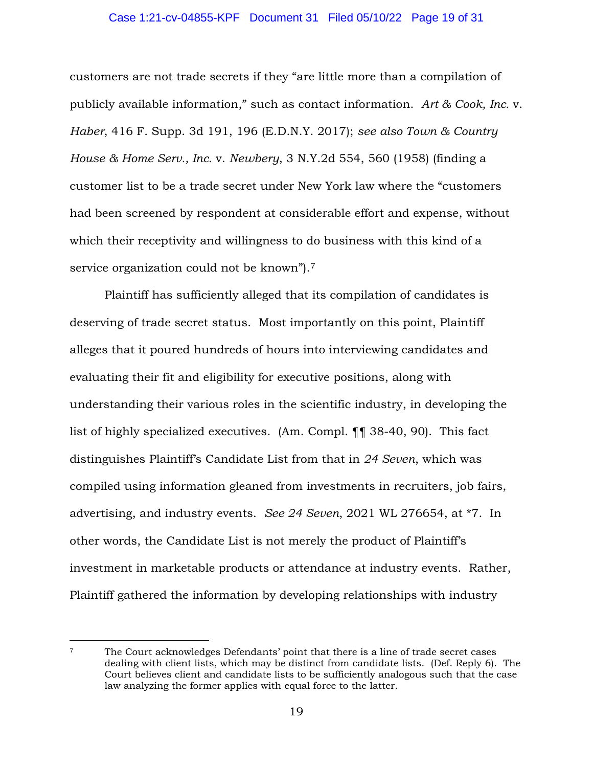#### Case 1:21-cv-04855-KPF Document 31 Filed 05/10/22 Page 19 of 31

customers are not trade secrets if they "are little more than a compilation of publicly available information," such as contact information. *Art & Cook, Inc.* v. *Haber*, 416 F. Supp. 3d 191, 196 (E.D.N.Y. 2017); *see also Town & Country House & Home Serv., Inc.* v. *Newbery*, 3 N.Y.2d 554, 560 (1958) (finding a customer list to be a trade secret under New York law where the "customers had been screened by respondent at considerable effort and expense, without which their receptivity and willingness to do business with this kind of a service organization could not be known").<sup>7</sup>

Plaintiff has sufficiently alleged that its compilation of candidates is deserving of trade secret status. Most importantly on this point, Plaintiff alleges that it poured hundreds of hours into interviewing candidates and evaluating their fit and eligibility for executive positions, along with understanding their various roles in the scientific industry, in developing the list of highly specialized executives. (Am. Compl. ¶¶ 38-40, 90). This fact distinguishes Plaintiff's Candidate List from that in *24 Seven*, which was compiled using information gleaned from investments in recruiters, job fairs, advertising, and industry events. *See 24 Seven*, 2021 WL 276654, at \*7. In other words, the Candidate List is not merely the product of Plaintiff's investment in marketable products or attendance at industry events. Rather, Plaintiff gathered the information by developing relationships with industry

<sup>7</sup> The Court acknowledges Defendants' point that there is a line of trade secret cases dealing with client lists, which may be distinct from candidate lists. (Def. Reply 6). The Court believes client and candidate lists to be sufficiently analogous such that the case law analyzing the former applies with equal force to the latter.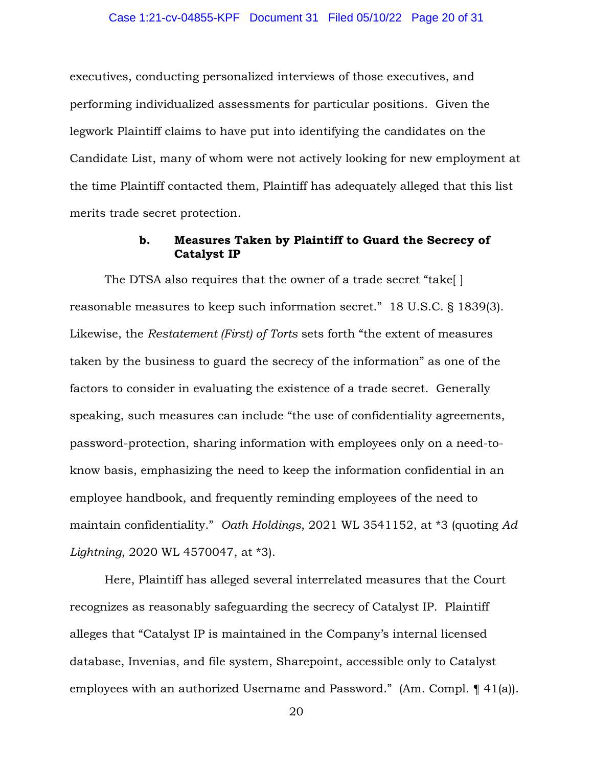executives, conducting personalized interviews of those executives, and performing individualized assessments for particular positions. Given the legwork Plaintiff claims to have put into identifying the candidates on the Candidate List, many of whom were not actively looking for new employment at the time Plaintiff contacted them, Plaintiff has adequately alleged that this list merits trade secret protection.

## **b. Measures Taken by Plaintiff to Guard the Secrecy of Catalyst IP**

The DTSA also requires that the owner of a trade secret "take[ ] reasonable measures to keep such information secret." 18 U.S.C. § 1839(3). Likewise, the *Restatement (First) of Torts* sets forth "the extent of measures taken by the business to guard the secrecy of the information" as one of the factors to consider in evaluating the existence of a trade secret. Generally speaking, such measures can include "the use of confidentiality agreements, password-protection, sharing information with employees only on a need-toknow basis, emphasizing the need to keep the information confidential in an employee handbook, and frequently reminding employees of the need to maintain confidentiality." *Oath Holdings*, 2021 WL 3541152, at \*3 (quoting *Ad Lightning*, 2020 WL 4570047, at \*3).

Here, Plaintiff has alleged several interrelated measures that the Court recognizes as reasonably safeguarding the secrecy of Catalyst IP. Plaintiff alleges that "Catalyst IP is maintained in the Company's internal licensed database, Invenias, and file system, Sharepoint, accessible only to Catalyst employees with an authorized Username and Password." (Am. Compl. ¶ 41(a)).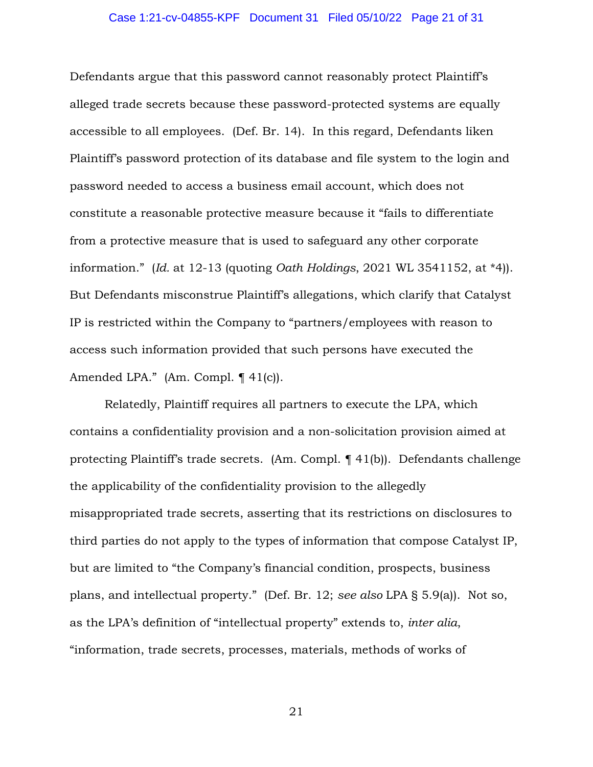#### Case 1:21-cv-04855-KPF Document 31 Filed 05/10/22 Page 21 of 31

Defendants argue that this password cannot reasonably protect Plaintiff's alleged trade secrets because these password-protected systems are equally accessible to all employees. (Def. Br. 14). In this regard, Defendants liken Plaintiff's password protection of its database and file system to the login and password needed to access a business email account, which does not constitute a reasonable protective measure because it "fails to differentiate from a protective measure that is used to safeguard any other corporate information." (*Id.* at 12-13 (quoting *Oath Holdings*, 2021 WL 3541152, at \*4)). But Defendants misconstrue Plaintiff's allegations, which clarify that Catalyst IP is restricted within the Company to "partners/employees with reason to access such information provided that such persons have executed the Amended LPA." (Am. Compl. ¶ 41(c)).

Relatedly, Plaintiff requires all partners to execute the LPA, which contains a confidentiality provision and a non-solicitation provision aimed at protecting Plaintiff's trade secrets. (Am. Compl. ¶ 41(b)). Defendants challenge the applicability of the confidentiality provision to the allegedly misappropriated trade secrets, asserting that its restrictions on disclosures to third parties do not apply to the types of information that compose Catalyst IP, but are limited to "the Company's financial condition, prospects, business plans, and intellectual property." (Def. Br. 12; *see also* LPA § 5.9(a)). Not so, as the LPA's definition of "intellectual property" extends to, *inter alia*, "information, trade secrets, processes, materials, methods of works of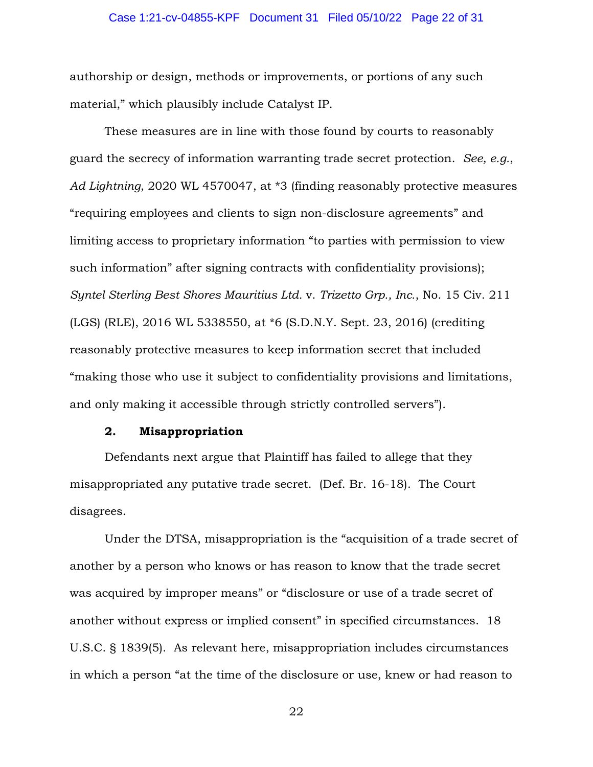#### Case 1:21-cv-04855-KPF Document 31 Filed 05/10/22 Page 22 of 31

authorship or design, methods or improvements, or portions of any such material," which plausibly include Catalyst IP.

These measures are in line with those found by courts to reasonably guard the secrecy of information warranting trade secret protection. *See, e.g.*, *Ad Lightning*, 2020 WL 4570047, at \*3 (finding reasonably protective measures "requiring employees and clients to sign non-disclosure agreements" and limiting access to proprietary information "to parties with permission to view such information" after signing contracts with confidentiality provisions); *Syntel Sterling Best Shores Mauritius Ltd.* v. *Trizetto Grp., Inc.*, No. 15 Civ. 211 (LGS) (RLE), 2016 WL 5338550, at \*6 (S.D.N.Y. Sept. 23, 2016) (crediting reasonably protective measures to keep information secret that included "making those who use it subject to confidentiality provisions and limitations, and only making it accessible through strictly controlled servers").

### **2. Misappropriation**

Defendants next argue that Plaintiff has failed to allege that they misappropriated any putative trade secret. (Def. Br. 16-18). The Court disagrees.

Under the DTSA, misappropriation is the "acquisition of a trade secret of another by a person who knows or has reason to know that the trade secret was acquired by improper means" or "disclosure or use of a trade secret of another without express or implied consent" in specified circumstances. 18 U.S.C. § 1839(5). As relevant here, misappropriation includes circumstances in which a person "at the time of the disclosure or use, knew or had reason to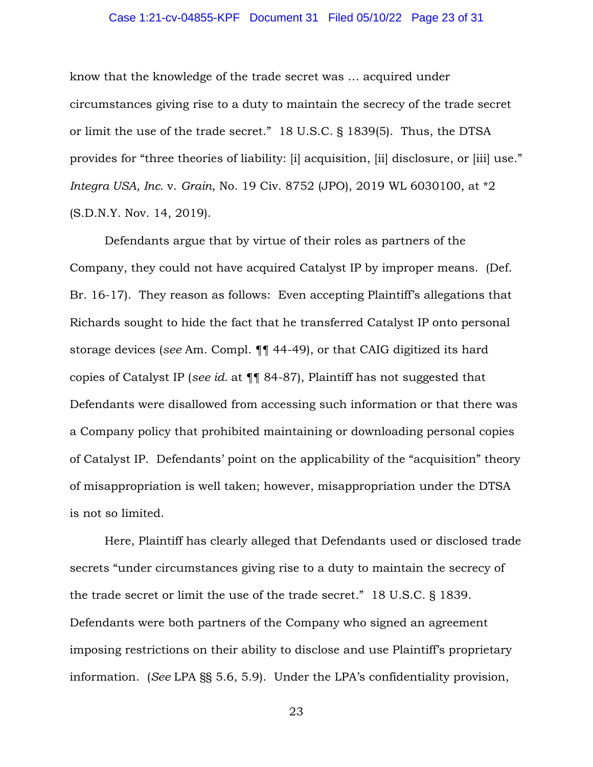#### Case 1:21-cv-04855-KPF Document 31 Filed 05/10/22 Page 23 of 31

know that the knowledge of the trade secret was … acquired under circumstances giving rise to a duty to maintain the secrecy of the trade secret or limit the use of the trade secret." 18 U.S.C. § 1839(5). Thus, the DTSA provides for "three theories of liability: [i] acquisition, [ii] disclosure, or [iii] use." *Integra USA, Inc.* v. *Grain*, No. 19 Civ. 8752 (JPO), 2019 WL 6030100, at \*2 (S.D.N.Y. Nov. 14, 2019).

Defendants argue that by virtue of their roles as partners of the Company, they could not have acquired Catalyst IP by improper means. (Def. Br. 16-17). They reason as follows: Even accepting Plaintiff's allegations that Richards sought to hide the fact that he transferred Catalyst IP onto personal storage devices (*see* Am. Compl. ¶¶ 44-49), or that CAIG digitized its hard copies of Catalyst IP (*see id.* at ¶¶ 84-87), Plaintiff has not suggested that Defendants were disallowed from accessing such information or that there was a Company policy that prohibited maintaining or downloading personal copies of Catalyst IP. Defendants' point on the applicability of the "acquisition" theory of misappropriation is well taken; however, misappropriation under the DTSA is not so limited.

Here, Plaintiff has clearly alleged that Defendants used or disclosed trade secrets "under circumstances giving rise to a duty to maintain the secrecy of the trade secret or limit the use of the trade secret." 18 U.S.C. § 1839. Defendants were both partners of the Company who signed an agreement imposing restrictions on their ability to disclose and use Plaintiff's proprietary information. (*See* LPA §§ 5.6, 5.9). Under the LPA's confidentiality provision,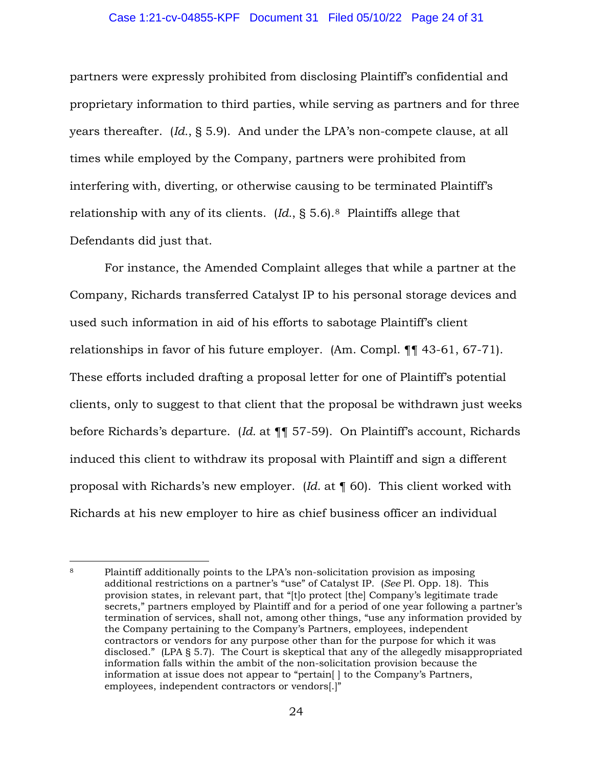#### Case 1:21-cv-04855-KPF Document 31 Filed 05/10/22 Page 24 of 31

partners were expressly prohibited from disclosing Plaintiff's confidential and proprietary information to third parties, while serving as partners and for three years thereafter. (*Id.*, § 5.9). And under the LPA's non-compete clause, at all times while employed by the Company, partners were prohibited from interfering with, diverting, or otherwise causing to be terminated Plaintiff's relationship with any of its clients. (*Id.*, § 5.6).<sup>8</sup> Plaintiffs allege that Defendants did just that.

For instance, the Amended Complaint alleges that while a partner at the Company, Richards transferred Catalyst IP to his personal storage devices and used such information in aid of his efforts to sabotage Plaintiff's client relationships in favor of his future employer. (Am. Compl. ¶¶ 43-61, 67-71). These efforts included drafting a proposal letter for one of Plaintiff's potential clients, only to suggest to that client that the proposal be withdrawn just weeks before Richards's departure. (*Id.* at ¶¶ 57-59). On Plaintiff's account, Richards induced this client to withdraw its proposal with Plaintiff and sign a different proposal with Richards's new employer. (*Id.* at ¶ 60). This client worked with Richards at his new employer to hire as chief business officer an individual

<sup>8</sup> Plaintiff additionally points to the LPA's non-solicitation provision as imposing additional restrictions on a partner's "use" of Catalyst IP. (*See* Pl. Opp. 18). This provision states, in relevant part, that "[t]o protect [the] Company's legitimate trade secrets," partners employed by Plaintiff and for a period of one year following a partner's termination of services, shall not, among other things, "use any information provided by the Company pertaining to the Company's Partners, employees, independent contractors or vendors for any purpose other than for the purpose for which it was disclosed." (LPA § 5.7). The Court is skeptical that any of the allegedly misappropriated information falls within the ambit of the non-solicitation provision because the information at issue does not appear to "pertain[ ] to the Company's Partners, employees, independent contractors or vendors[.]"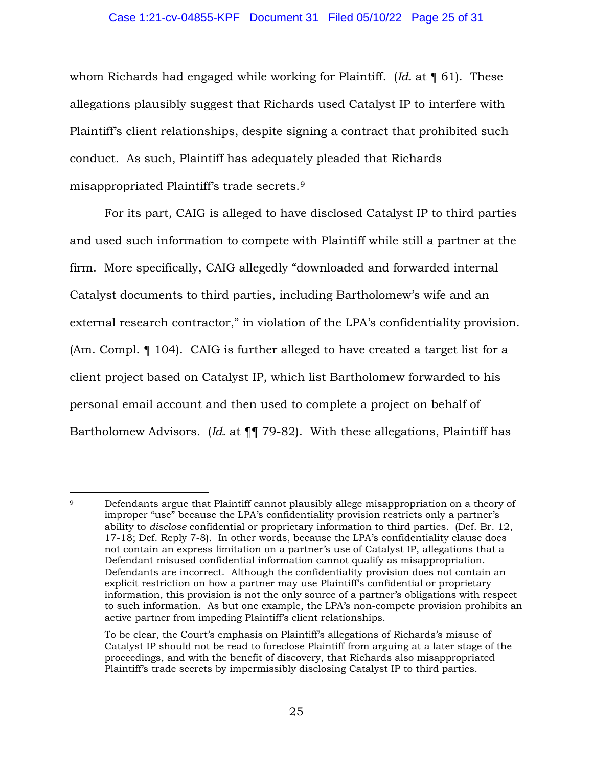#### Case 1:21-cv-04855-KPF Document 31 Filed 05/10/22 Page 25 of 31

whom Richards had engaged while working for Plaintiff. (*Id.* at ¶ 61). These allegations plausibly suggest that Richards used Catalyst IP to interfere with Plaintiff's client relationships, despite signing a contract that prohibited such conduct. As such, Plaintiff has adequately pleaded that Richards misappropriated Plaintiff's trade secrets.<sup>9</sup>

For its part, CAIG is alleged to have disclosed Catalyst IP to third parties and used such information to compete with Plaintiff while still a partner at the firm. More specifically, CAIG allegedly "downloaded and forwarded internal Catalyst documents to third parties, including Bartholomew's wife and an external research contractor," in violation of the LPA's confidentiality provision. (Am. Compl. ¶ 104). CAIG is further alleged to have created a target list for a client project based on Catalyst IP, which list Bartholomew forwarded to his personal email account and then used to complete a project on behalf of Bartholomew Advisors. (*Id.* at ¶¶ 79-82). With these allegations, Plaintiff has

<sup>9</sup> Defendants argue that Plaintiff cannot plausibly allege misappropriation on a theory of improper "use" because the LPA's confidentiality provision restricts only a partner's ability to *disclose* confidential or proprietary information to third parties. (Def. Br. 12, 17-18; Def. Reply 7-8). In other words, because the LPA's confidentiality clause does not contain an express limitation on a partner's use of Catalyst IP, allegations that a Defendant misused confidential information cannot qualify as misappropriation. Defendants are incorrect. Although the confidentiality provision does not contain an explicit restriction on how a partner may use Plaintiff's confidential or proprietary information, this provision is not the only source of a partner's obligations with respect to such information. As but one example, the LPA's non-compete provision prohibits an active partner from impeding Plaintiff's client relationships.

To be clear, the Court's emphasis on Plaintiff's allegations of Richards's misuse of Catalyst IP should not be read to foreclose Plaintiff from arguing at a later stage of the proceedings, and with the benefit of discovery, that Richards also misappropriated Plaintiff's trade secrets by impermissibly disclosing Catalyst IP to third parties.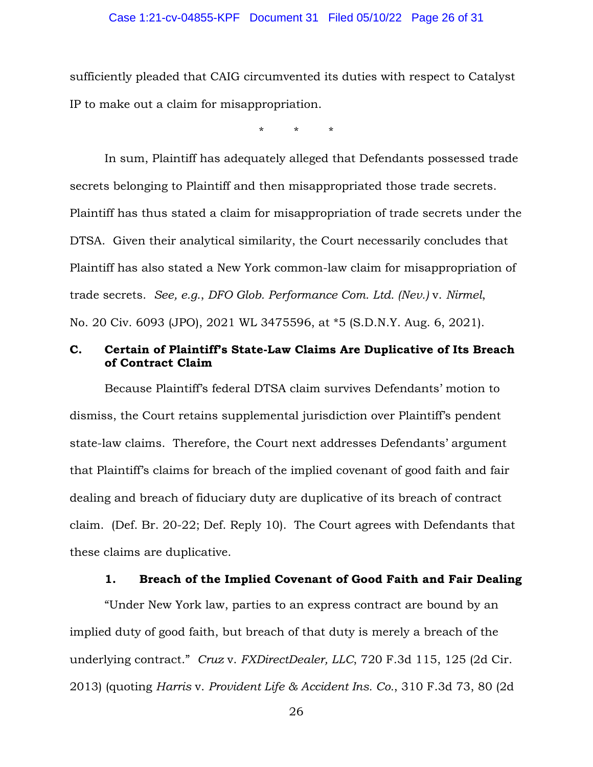#### Case 1:21-cv-04855-KPF Document 31 Filed 05/10/22 Page 26 of 31

sufficiently pleaded that CAIG circumvented its duties with respect to Catalyst IP to make out a claim for misappropriation.

\* \* \*

In sum, Plaintiff has adequately alleged that Defendants possessed trade secrets belonging to Plaintiff and then misappropriated those trade secrets. Plaintiff has thus stated a claim for misappropriation of trade secrets under the DTSA. Given their analytical similarity, the Court necessarily concludes that Plaintiff has also stated a New York common-law claim for misappropriation of trade secrets. *See, e.g.*, *DFO Glob. Performance Com. Ltd. (Nev.)* v. *Nirmel*, No. 20 Civ. 6093 (JPO), 2021 WL 3475596, at \*5 (S.D.N.Y. Aug. 6, 2021).

## **C. Certain of Plaintiff's State-Law Claims Are Duplicative of Its Breach of Contract Claim**

Because Plaintiff's federal DTSA claim survives Defendants' motion to dismiss, the Court retains supplemental jurisdiction over Plaintiff's pendent state-law claims. Therefore, the Court next addresses Defendants' argument that Plaintiff's claims for breach of the implied covenant of good faith and fair dealing and breach of fiduciary duty are duplicative of its breach of contract claim. (Def. Br. 20-22; Def. Reply 10). The Court agrees with Defendants that these claims are duplicative.

#### **1. Breach of the Implied Covenant of Good Faith and Fair Dealing**

"Under New York law, parties to an express contract are bound by an implied duty of good faith, but breach of that duty is merely a breach of the underlying contract." *Cruz* v. *FXDirectDealer, LLC*, 720 F.3d 115, 125 (2d Cir. 2013) (quoting *Harris* v. *Provident Life & Accident Ins. Co.*, 310 F.3d 73, 80 (2d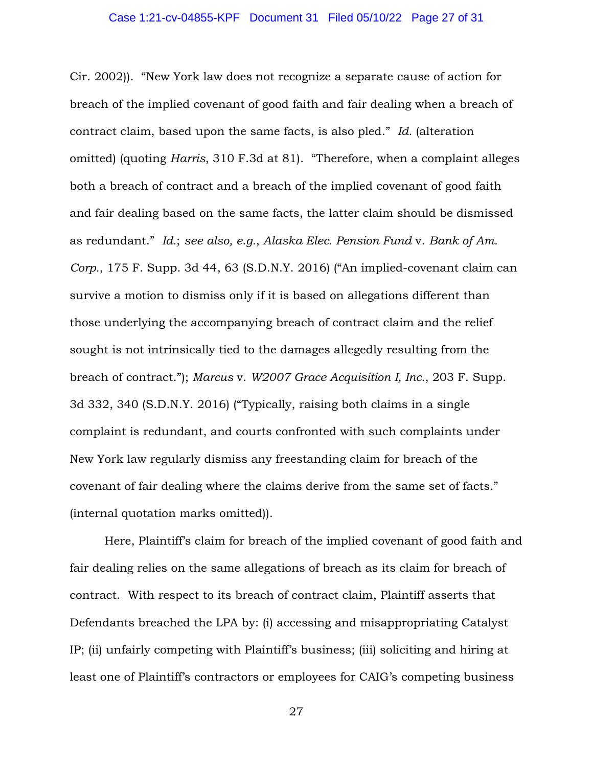Cir. 2002)). "New York law does not recognize a separate cause of action for breach of the implied covenant of good faith and fair dealing when a breach of contract claim, based upon the same facts, is also pled." *Id.* (alteration omitted) (quoting *Harris*, 310 F.3d at 81). "Therefore, when a complaint alleges both a breach of contract and a breach of the implied covenant of good faith and fair dealing based on the same facts, the latter claim should be dismissed as redundant." *Id.*; *see also, e.g.*, *Alaska Elec. Pension Fund* v. *Bank of Am. Corp.*, 175 F. Supp. 3d 44, 63 (S.D.N.Y. 2016) ("An implied-covenant claim can survive a motion to dismiss only if it is based on allegations different than those underlying the accompanying breach of contract claim and the relief sought is not intrinsically tied to the damages allegedly resulting from the breach of contract."); *Marcus* v. *W2007 Grace Acquisition I, Inc.*, 203 F. Supp. 3d 332, 340 (S.D.N.Y. 2016) ("Typically, raising both claims in a single complaint is redundant, and courts confronted with such complaints under New York law regularly dismiss any freestanding claim for breach of the covenant of fair dealing where the claims derive from the same set of facts." (internal quotation marks omitted)).

Here, Plaintiff's claim for breach of the implied covenant of good faith and fair dealing relies on the same allegations of breach as its claim for breach of contract. With respect to its breach of contract claim, Plaintiff asserts that Defendants breached the LPA by: (i) accessing and misappropriating Catalyst IP; (ii) unfairly competing with Plaintiff's business; (iii) soliciting and hiring at least one of Plaintiff's contractors or employees for CAIG's competing business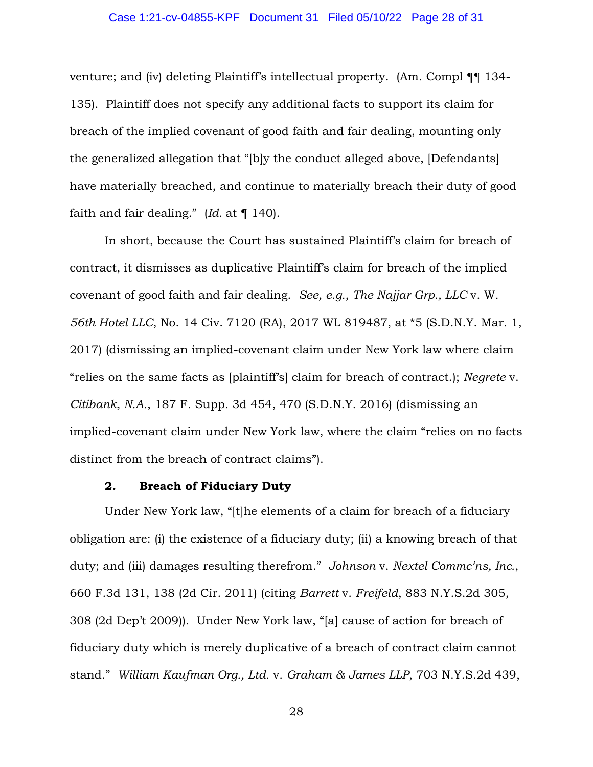#### Case 1:21-cv-04855-KPF Document 31 Filed 05/10/22 Page 28 of 31

venture; and (iv) deleting Plaintiff's intellectual property. (Am. Compl ¶¶ 134- 135). Plaintiff does not specify any additional facts to support its claim for breach of the implied covenant of good faith and fair dealing, mounting only the generalized allegation that "[b]y the conduct alleged above, [Defendants] have materially breached, and continue to materially breach their duty of good faith and fair dealing." (*Id.* at ¶ 140).

In short, because the Court has sustained Plaintiff's claim for breach of contract, it dismisses as duplicative Plaintiff's claim for breach of the implied covenant of good faith and fair dealing. *See, e.g.*, *The Najjar Grp., LLC* v. W*. 56th Hotel LLC*, No. 14 Civ. 7120 (RA), 2017 WL 819487, at \*5 (S.D.N.Y. Mar. 1, 2017) (dismissing an implied-covenant claim under New York law where claim "relies on the same facts as [plaintiff's] claim for breach of contract.); *Negrete* v. *Citibank, N.A.*, 187 F. Supp. 3d 454, 470 (S.D.N.Y. 2016) (dismissing an implied-covenant claim under New York law, where the claim "relies on no facts distinct from the breach of contract claims").

### **2. Breach of Fiduciary Duty**

Under New York law, "[t]he elements of a claim for breach of a fiduciary obligation are: (i) the existence of a fiduciary duty; (ii) a knowing breach of that duty; and (iii) damages resulting therefrom." *Johnson* v. *Nextel Commc'ns, Inc.*, 660 F.3d 131, 138 (2d Cir. 2011) (citing *Barrett* v. *Freifeld*, 883 N.Y.S.2d 305, 308 (2d Dep't 2009)). Under New York law, "[a] cause of action for breach of fiduciary duty which is merely duplicative of a breach of contract claim cannot stand." *William Kaufman Org., Ltd.* v. *Graham & James LLP*, 703 N.Y.S.2d 439,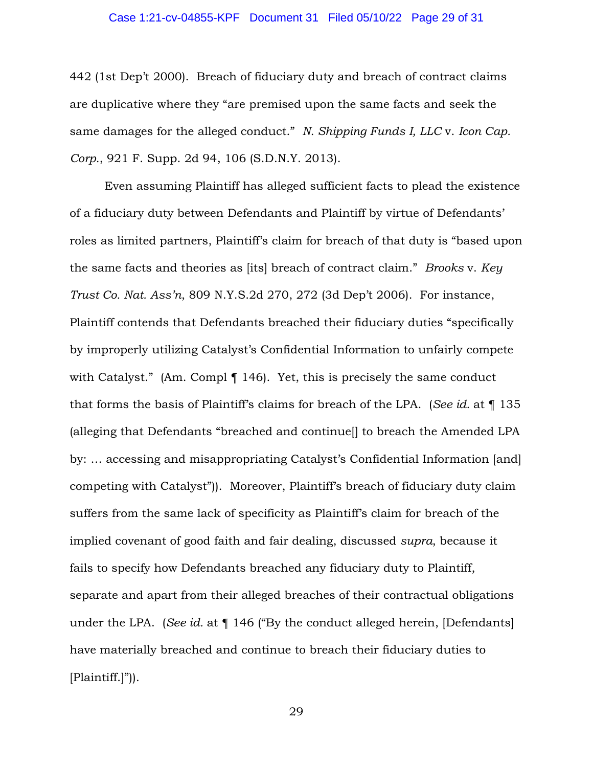#### Case 1:21-cv-04855-KPF Document 31 Filed 05/10/22 Page 29 of 31

442 (1st Dep't 2000). Breach of fiduciary duty and breach of contract claims are duplicative where they "are premised upon the same facts and seek the same damages for the alleged conduct." *N. Shipping Funds I, LLC* v. *Icon Cap. Corp.*, 921 F. Supp. 2d 94, 106 (S.D.N.Y. 2013).

Even assuming Plaintiff has alleged sufficient facts to plead the existence of a fiduciary duty between Defendants and Plaintiff by virtue of Defendants' roles as limited partners, Plaintiff's claim for breach of that duty is "based upon the same facts and theories as [its] breach of contract claim." *Brooks* v. *Key Trust Co. Nat. Ass'n*, 809 N.Y.S.2d 270, 272 (3d Dep't 2006). For instance, Plaintiff contends that Defendants breached their fiduciary duties "specifically by improperly utilizing Catalyst's Confidential Information to unfairly compete with Catalyst." (Am. Compl ¶ 146). Yet, this is precisely the same conduct that forms the basis of Plaintiff's claims for breach of the LPA. (*See id.* at ¶ 135 (alleging that Defendants "breached and continue[] to breach the Amended LPA by: … accessing and misappropriating Catalyst's Confidential Information [and] competing with Catalyst")). Moreover, Plaintiff's breach of fiduciary duty claim suffers from the same lack of specificity as Plaintiff's claim for breach of the implied covenant of good faith and fair dealing, discussed *supra*, because it fails to specify how Defendants breached any fiduciary duty to Plaintiff, separate and apart from their alleged breaches of their contractual obligations under the LPA. (*See id.* at ¶ 146 ("By the conduct alleged herein, [Defendants] have materially breached and continue to breach their fiduciary duties to [Plaintiff.]")).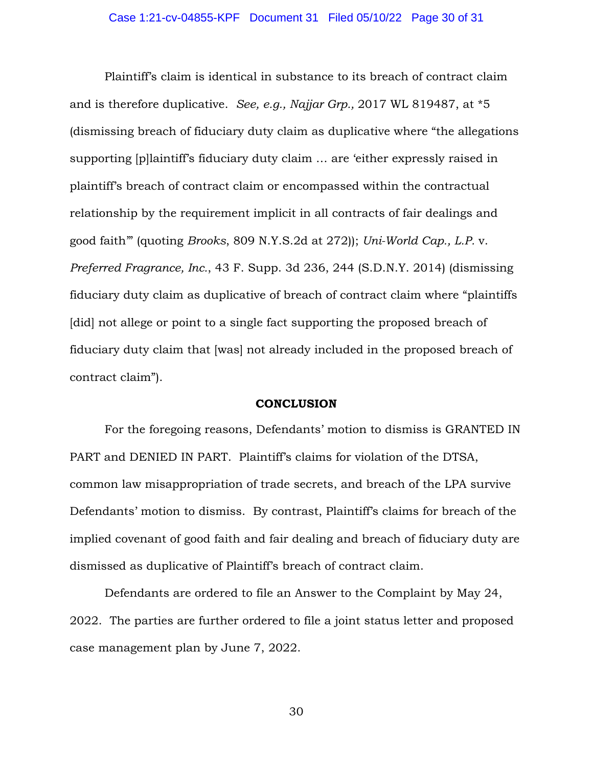Plaintiff's claim is identical in substance to its breach of contract claim and is therefore duplicative. *See, e.g., Najjar Grp.,* 2017 WL 819487, at \*5 (dismissing breach of fiduciary duty claim as duplicative where "the allegations supporting [p]laintiff's fiduciary duty claim … are 'either expressly raised in plaintiff's breach of contract claim or encompassed within the contractual relationship by the requirement implicit in all contracts of fair dealings and good faith'" (quoting *Brooks*, 809 N.Y.S.2d at 272)); *Uni-World Cap., L.P.* v. *Preferred Fragrance, Inc.*, 43 F. Supp. 3d 236, 244 (S.D.N.Y. 2014) (dismissing fiduciary duty claim as duplicative of breach of contract claim where "plaintiffs [did] not allege or point to a single fact supporting the proposed breach of fiduciary duty claim that [was] not already included in the proposed breach of contract claim").

## **CONCLUSION**

 For the foregoing reasons, Defendants' motion to dismiss is GRANTED IN PART and DENIED IN PART. Plaintiff's claims for violation of the DTSA, common law misappropriation of trade secrets, and breach of the LPA survive Defendants' motion to dismiss. By contrast, Plaintiff's claims for breach of the implied covenant of good faith and fair dealing and breach of fiduciary duty are dismissed as duplicative of Plaintiff's breach of contract claim.

 Defendants are ordered to file an Answer to the Complaint by May 24, 2022. The parties are further ordered to file a joint status letter and proposed case management plan by June 7, 2022.